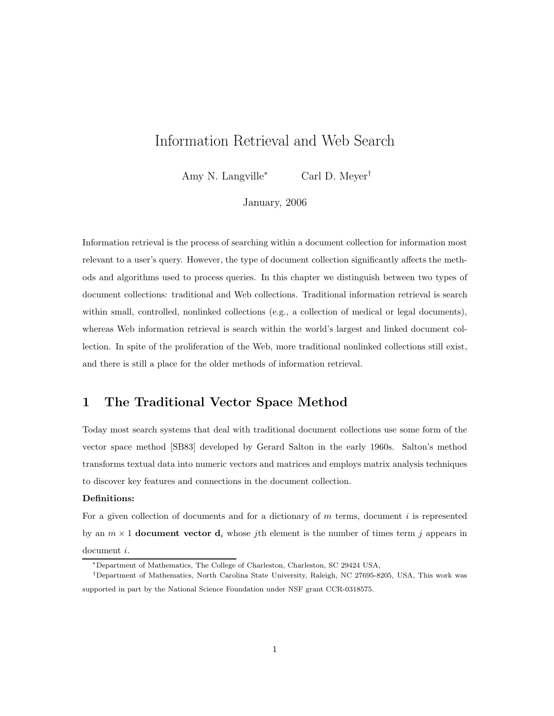# Information Retrieval and Web Search

Amy N. Langville<sup>∗</sup> Carl D. Meyer†

January, 2006

Information retrieval is the process of searching within a document collection for information most relevant to a user's query. However, the type of document collection significantly affects the methods and algorithms used to process queries. In this chapter we distinguish between two types of document collections: traditional and Web collections. Traditional information retrieval is search within small, controlled, nonlinked collections (e.g., a collection of medical or legal documents), whereas Web information retrieval is search within the world's largest and linked document collection. In spite of the proliferation of the Web, more traditional nonlinked collections still exist, and there is still a place for the older methods of information retrieval.

# 1 The Traditional Vector Space Method

Today most search systems that deal with traditional document collections use some form of the vector space method [SB83] developed by Gerard Salton in the early 1960s. Salton's method transforms textual data into numeric vectors and matrices and employs matrix analysis techniques to discover key features and connections in the document collection.

### Definitions:

For a given collection of documents and for a dictionary of  $m$  terms, document  $i$  is represented by an  $m \times 1$  document vector  $d_i$  whose jth element is the number of times term j appears in document i.

<sup>∗</sup>Department of Mathematics, The College of Charleston, Charleston, SC 29424 USA,

<sup>†</sup>Department of Mathematics, North Carolina State University, Raleigh, NC 27695-8205, USA, This work was supported in part by the National Science Foundation under NSF grant CCR-0318575.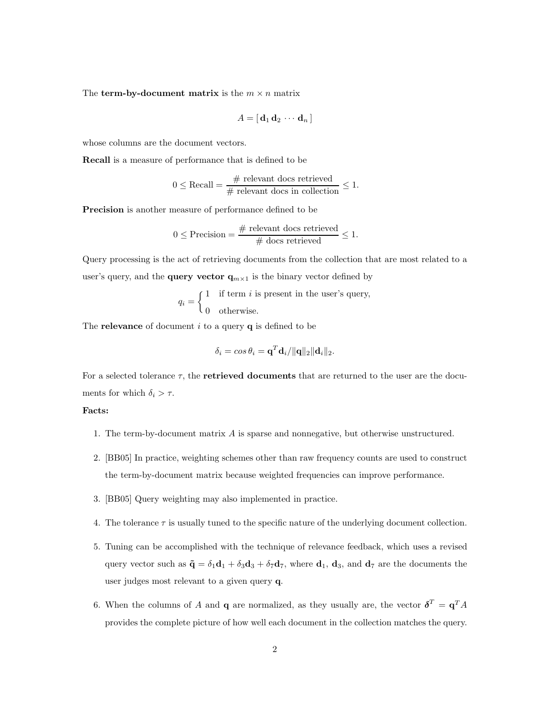The term-by-document matrix is the  $m \times n$  matrix

$$
A = [\mathbf{d}_1 \mathbf{d}_2 \cdots \mathbf{d}_n]
$$

whose columns are the document vectors.

Recall is a measure of performance that is defined to be

$$
0 \le \text{Recall} = \frac{\text{\# relevant docs retrieved}}{\text{\# relevant docs in collection}} \le 1.
$$

Precision is another measure of performance defined to be

$$
0 \le \text{Precision} = \frac{\text{\# relevant does retrieved}}{\text{\# does retrieved}} \le 1.
$$

Query processing is the act of retrieving documents from the collection that are most related to a user's query, and the **query vector**  $q_{m \times 1}$  is the binary vector defined by

$$
q_i = \begin{cases} 1 & \text{if term } i \text{ is present in the user's query,} \\ 0 & \text{otherwise.} \end{cases}
$$

The **relevance** of document  $i$  to a query  $q$  is defined to be

$$
\delta_i = \cos \theta_i = \mathbf{q}^T \mathbf{d}_i / ||\mathbf{q}||_2 ||\mathbf{d}_i||_2.
$$

For a selected tolerance  $\tau$ , the **retrieved documents** that are returned to the user are the documents for which  $\delta_i > \tau$ .

- 1. The term-by-document matrix A is sparse and nonnegative, but otherwise unstructured.
- 2. [BB05] In practice, weighting schemes other than raw frequency counts are used to construct the term-by-document matrix because weighted frequencies can improve performance.
- 3. [BB05] Query weighting may also implemented in practice.
- 4. The tolerance  $\tau$  is usually tuned to the specific nature of the underlying document collection.
- 5. Tuning can be accomplished with the technique of relevance feedback, which uses a revised query vector such as  $\tilde{\mathbf{q}} = \delta_1 \mathbf{d}_1 + \delta_3 \mathbf{d}_3 + \delta_7 \mathbf{d}_7$ , where  $\mathbf{d}_1$ ,  $\mathbf{d}_3$ , and  $\mathbf{d}_7$  are the documents the user judges most relevant to a given query q.
- 6. When the columns of A and **q** are normalized, as they usually are, the vector  $\boldsymbol{\delta}^T = \mathbf{q}^T A$ provides the complete picture of how well each document in the collection matches the query.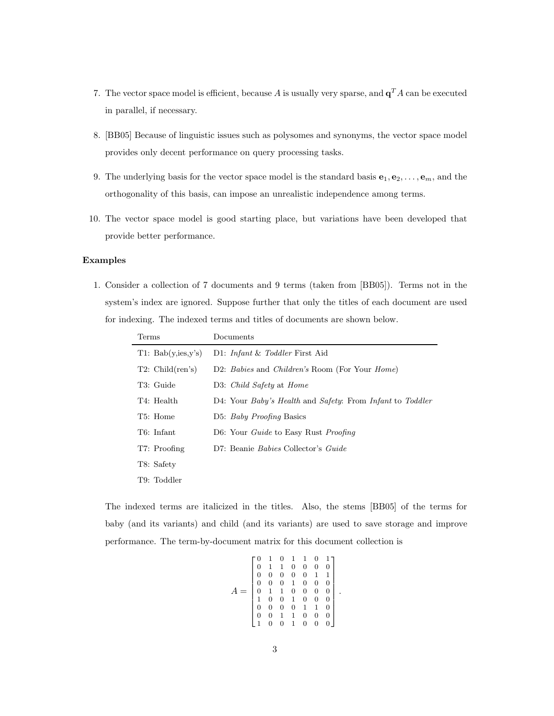- 7. The vector space model is efficient, because A is usually very sparse, and  $\mathbf{q}^T A$  can be executed in parallel, if necessary.
- 8. [BB05] Because of linguistic issues such as polysomes and synonyms, the vector space model provides only decent performance on query processing tasks.
- 9. The underlying basis for the vector space model is the standard basis  $e_1, e_2, \ldots, e_m$ , and the orthogonality of this basis, can impose an unrealistic independence among terms.
- 10. The vector space model is good starting place, but variations have been developed that provide better performance.

### Examples

1. Consider a collection of 7 documents and 9 terms (taken from [BB05]). Terms not in the system's index are ignored. Suppose further that only the titles of each document are used for indexing. The indexed terms and titles of documents are shown below.

| Documents                                                                       |
|---------------------------------------------------------------------------------|
| D1: <i>Infant &amp; Toddler</i> First Aid                                       |
| D2: Babies and Children's Room (For Your Home)                                  |
| D3: <i>Child Safety</i> at <i>Home</i>                                          |
| D4: Your <i>Baby's Health</i> and <i>Safety</i> : From <i>Infant</i> to Toddler |
| D5: <i>Baby Proofing</i> Basics                                                 |
| D6: Your <i>Guide</i> to Easy Rust <i>Proofing</i>                              |
| D7: Beanie <i>Babies</i> Collector's <i>Guide</i>                               |
|                                                                                 |
|                                                                                 |
|                                                                                 |

The indexed terms are italicized in the titles. Also, the stems [BB05] of the terms for baby (and its variants) and child (and its variants) are used to save storage and improve performance. The term-by-document matrix for this document collection is

|  |                                                                                                                                                 |              |                | $0 \quad 1 \}$ |
|--|-------------------------------------------------------------------------------------------------------------------------------------------------|--------------|----------------|----------------|
|  |                                                                                                                                                 |              | $\overline{0}$ | $\overline{0}$ |
|  |                                                                                                                                                 | $\mathbf{0}$ |                | $1 \quad 1$    |
|  |                                                                                                                                                 |              | $\overline{0}$ | 0              |
|  |                                                                                                                                                 |              | $\overline{0}$ | 0              |
|  |                                                                                                                                                 |              | $\overline{0}$ | $\overline{0}$ |
|  |                                                                                                                                                 |              | $\,$ 1 $\,$    | $\overline{0}$ |
|  |                                                                                                                                                 |              | $\overline{0}$ | 0              |
|  | $\begin{array}{cccccccc} 0&1&0&1&1\\ 0&1&1&0&0\\ 0&0&0&0&0\\ 0&0&0&1&0\\ 0&1&1&0&0\\ 1&0&0&1&0\\ 0&0&0&0&1\\ 0&0&1&1&0\\ 1&0&0&1&0 \end{array}$ |              | 0              |                |

.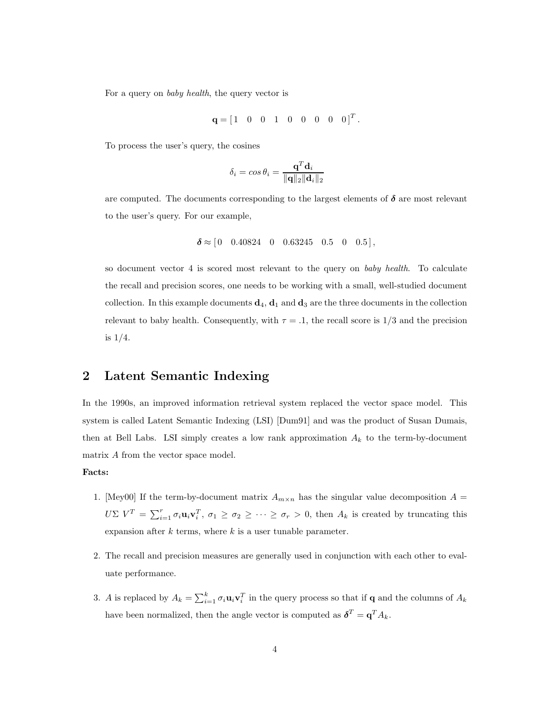For a query on baby health, the query vector is

$$
\mathbf{q} = [1 \ 0 \ 0 \ 1 \ 0 \ 0 \ 0 \ 0 \ 0]^T.
$$

To process the user's query, the cosines

$$
\delta_i = \cos \theta_i = \frac{\mathbf{q}^T \mathbf{d}_i}{\|\mathbf{q}\|_2 \|\mathbf{d}_i\|_2}
$$

are computed. The documents corresponding to the largest elements of  $\delta$  are most relevant to the user's query. For our example,

$$
\delta \approx [0 \quad 0.40824 \quad 0 \quad 0.63245 \quad 0.5 \quad 0 \quad 0.5],
$$

so document vector 4 is scored most relevant to the query on baby health. To calculate the recall and precision scores, one needs to be working with a small, well-studied document collection. In this example documents  $\mathbf{d}_4$ ,  $\mathbf{d}_1$  and  $\mathbf{d}_3$  are the three documents in the collection relevant to baby health. Consequently, with  $\tau = .1$ , the recall score is  $1/3$  and the precision is 1/4.

## 2 Latent Semantic Indexing

In the 1990s, an improved information retrieval system replaced the vector space model. This system is called Latent Semantic Indexing (LSI) [Dum91] and was the product of Susan Dumais, then at Bell Labs. LSI simply creates a low rank approximation  $A_k$  to the term-by-document matrix A from the vector space model.

- 1. [Mey00] If the term-by-document matrix  $A_{m \times n}$  has the singular value decomposition  $A =$  $U\Sigma$   $V^T = \sum_{i=1}^r \sigma_i \mathbf{u}_i \mathbf{v}_i^T$ ,  $\sigma_1 \geq \sigma_2 \geq \cdots \geq \sigma_r > 0$ , then  $A_k$  is created by truncating this expansion after  $k$  terms, where  $k$  is a user tunable parameter.
- 2. The recall and precision measures are generally used in conjunction with each other to evaluate performance.
- 3. A is replaced by  $A_k = \sum_{i=1}^k \sigma_i \mathbf{u}_i \mathbf{v}_i^T$  in the query process so that if **q** and the columns of  $A_k$ have been normalized, then the angle vector is computed as  $\boldsymbol{\delta}^T = \mathbf{q}^T A_k$ .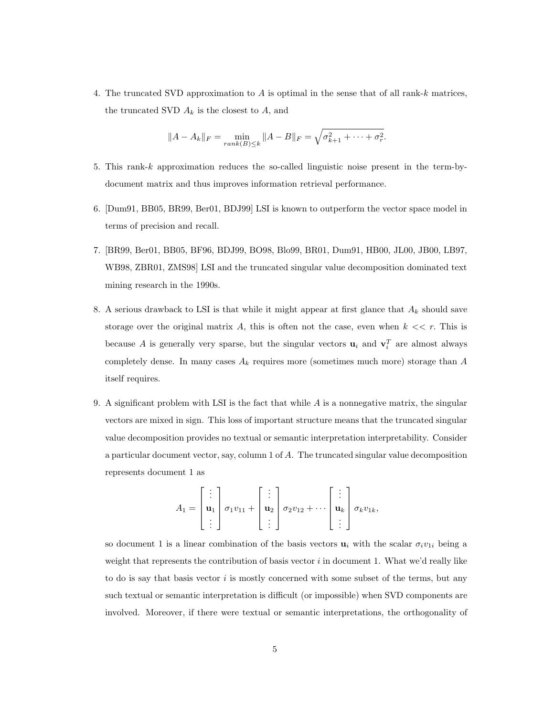4. The truncated SVD approximation to  $A$  is optimal in the sense that of all rank-k matrices, the truncated SVD  $A_k$  is the closest to  $A$ , and

$$
||A - A_k||_F = \min_{rank(B) \le k} ||A - B||_F = \sqrt{\sigma_{k+1}^2 + \dots + \sigma_r^2}.
$$

- 5. This rank-k approximation reduces the so-called linguistic noise present in the term-bydocument matrix and thus improves information retrieval performance.
- 6. [Dum91, BB05, BR99, Ber01, BDJ99] LSI is known to outperform the vector space model in terms of precision and recall.
- 7. [BR99, Ber01, BB05, BF96, BDJ99, BO98, Blo99, BR01, Dum91, HB00, JL00, JB00, LB97, WB98, ZBR01, ZMS98] LSI and the truncated singular value decomposition dominated text mining research in the 1990s.
- 8. A serious drawback to LSI is that while it might appear at first glance that  $A_k$  should save storage over the original matrix A, this is often not the case, even when  $k \ll r$ . This is because A is generally very sparse, but the singular vectors  $\mathbf{u}_i$  and  $\mathbf{v}_i^T$  are almost always completely dense. In many cases  $A_k$  requires more (sometimes much more) storage than  $A$ itself requires.
- 9. A significant problem with LSI is the fact that while A is a nonnegative matrix, the singular vectors are mixed in sign. This loss of important structure means that the truncated singular value decomposition provides no textual or semantic interpretation interpretability. Consider a particular document vector, say, column 1 of A. The truncated singular value decomposition represents document 1 as

$$
A_1 = \begin{bmatrix} \vdots \\ \mathbf{u}_1 \\ \vdots \end{bmatrix} \sigma_1 v_{11} + \begin{bmatrix} \vdots \\ \mathbf{u}_2 \\ \vdots \end{bmatrix} \sigma_2 v_{12} + \cdots \begin{bmatrix} \vdots \\ \mathbf{u}_k \\ \vdots \end{bmatrix} \sigma_k v_{1k},
$$

so document 1 is a linear combination of the basis vectors  $\mathbf{u}_i$  with the scalar  $\sigma_i v_{1i}$  being a weight that represents the contribution of basis vector  $i$  in document 1. What we'd really like to do is say that basis vector  $i$  is mostly concerned with some subset of the terms, but any such textual or semantic interpretation is difficult (or impossible) when SVD components are involved. Moreover, if there were textual or semantic interpretations, the orthogonality of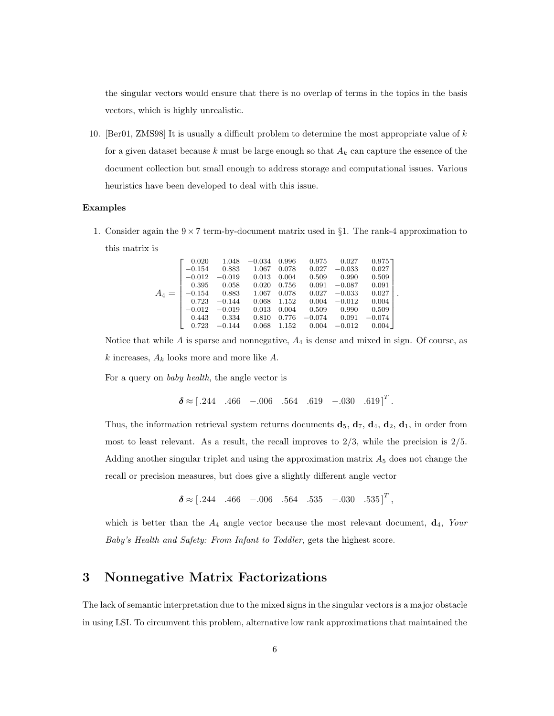the singular vectors would ensure that there is no overlap of terms in the topics in the basis vectors, which is highly unrealistic.

10. [Ber01, ZMS98] It is usually a difficult problem to determine the most appropriate value of k for a given dataset because k must be large enough so that  $A_k$  can capture the essence of the document collection but small enough to address storage and computational issues. Various heuristics have been developed to deal with this issue.

### Examples

1. Consider again the  $9 \times 7$  term-by-document matrix used in §1. The rank-4 approximation to this matrix is

|       | 0.020    | 1.048           | $-0.034$        | 0.996       | 0.975          | 0.027       | $0.975$ J |  |
|-------|----------|-----------------|-----------------|-------------|----------------|-------------|-----------|--|
|       | $-0.154$ |                 | $0.883$ $1.067$ | 0.078       | 0.027          | $-0.033$    | 0.027     |  |
|       | $-0.012$ |                 | $-0.019$ 0.013  | 0.004       | 0.509          | 0.990       | 0.509     |  |
|       |          | $0.395$ $0.058$ | 0.020           | 0.756       | 0.091          | $-0.087$    | 0.091     |  |
| $A_4$ |          | $-0.154$ 0.883  | 1.067           | 0.078       | 0.027          | $-0.033$    | 0.027     |  |
|       | 0.723    | $-0.144$        | 0.068           | 1.152       | 0.004          | $-0.012$    | 0.004     |  |
|       | $-0.012$ | $-0.019$        | 0.013           | 0.004       |                | 0.509 0.990 | 0.509     |  |
|       |          | 0.443 0.334     | 0.810           | 0.776       | $-0.074$ 0.091 |             | $-0.074$  |  |
|       | 0.723    | $-0.144$        |                 | 0.068 1.152 | 0.004          | $-0.012$    | 0.004     |  |

Notice that while  $A$  is sparse and nonnegative,  $A_4$  is dense and mixed in sign. Of course, as k increases,  $A_k$  looks more and more like  $A$ .

For a query on baby health, the angle vector is

 $\delta \approx [ .244 \quad .466 \quad -.006 \quad .564 \quad .619 \quad -.030 \quad .619 ]^T$ .

Thus, the information retrieval system returns documents  $\mathbf{d}_5$ ,  $\mathbf{d}_7$ ,  $\mathbf{d}_4$ ,  $\mathbf{d}_2$ ,  $\mathbf{d}_1$ , in order from most to least relevant. As a result, the recall improves to  $2/3$ , while the precision is  $2/5$ . Adding another singular triplet and using the approximation matrix  $A_5$  does not change the recall or precision measures, but does give a slightly different angle vector

 $\delta \approx [ .244 \quad .466 \quad -.006 \quad .564 \quad .535 \quad -.030 \quad .535 ]^T$ ,

which is better than the  $A_4$  angle vector because the most relevant document,  $\mathbf{d}_4$ , Your Baby's Health and Safety: From Infant to Toddler, gets the highest score.

# 3 Nonnegative Matrix Factorizations

The lack of semantic interpretation due to the mixed signs in the singular vectors is a major obstacle in using LSI. To circumvent this problem, alternative low rank approximations that maintained the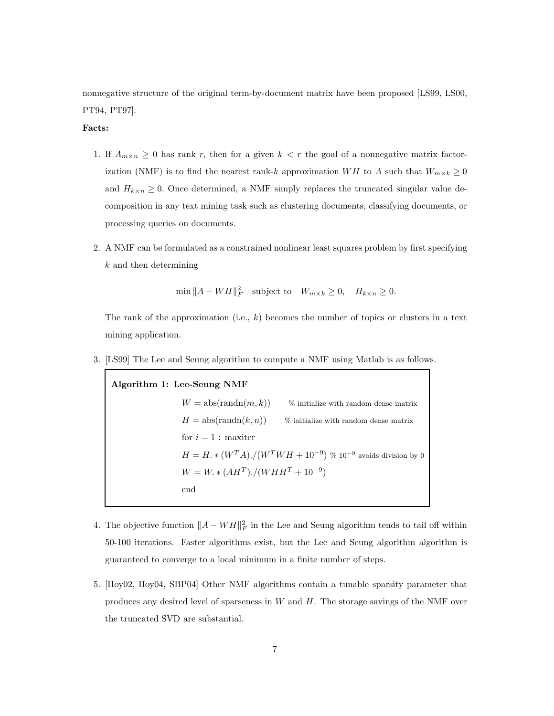nonnegative structure of the original term-by-document matrix have been proposed [LS99, LS00, PT94, PT97].

#### Facts:

- 1. If  $A_{m \times n} \geq 0$  has rank r, then for a given  $k < r$  the goal of a nonnegative matrix factorization (NMF) is to find the nearest rank-k approximation  $WH$  to A such that  $W_{m \times k} \ge 0$ and  $H_{k\times n} \geq 0$ . Once determined, a NMF simply replaces the truncated singular value decomposition in any text mining task such as clustering documents, classifying documents, or processing queries on documents.
- 2. A NMF can be formulated as a constrained nonlinear least squares problem by first specifying k and then determining

$$
\min ||A - WH||_F^2 \quad \text{subject to} \quad W_{m \times k} \ge 0, \quad H_{k \times n} \ge 0.
$$

The rank of the approximation (i.e.,  $k$ ) becomes the number of topics or clusters in a text mining application.

3. [LS99] The Lee and Seung algorithm to compute a NMF using Matlab is as follows.

Algorithm 1: Lee-Seung NMF  $W = \text{abs}(\text{randn}(m, k))$  % initialize with random dense matrix  $H = \text{abs}(\text{randn}(k, n))$  % initialize with random dense matrix for  $i = 1$ : maxiter  $H = H. * (W^{T} A) / (W^{T} W H + 10^{-9})$  % 10<sup>-9</sup> avoids division by 0  $W = W \cdot (AH^T) \cdot / (WHH^T + 10^{-9})$ end

- 4. The objective function  $||A WH||_F^2$  in the Lee and Seung algorithm tends to tail off within 50-100 iterations. Faster algorithms exist, but the Lee and Seung algorithm algorithm is guaranteed to converge to a local minimum in a finite number of steps.
- 5. [Hoy02, Hoy04, SBP04] Other NMF algorithms contain a tunable sparsity parameter that produces any desired level of sparseness in W and H. The storage savings of the NMF over the truncated SVD are substantial.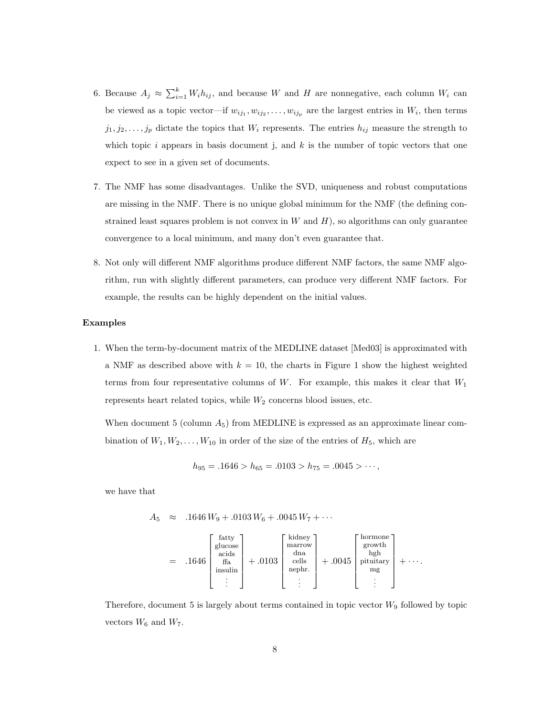- 6. Because  $A_j \approx \sum_{i=1}^k W_i h_{ij}$ , and because W and H are nonnegative, each column  $W_i$  can be viewed as a topic vector—if  $w_{ij_1}, w_{ij_2}, \ldots, w_{ij_p}$  are the largest entries in  $W_i$ , then terms  $j_1, j_2, \ldots, j_p$  dictate the topics that  $W_i$  represents. The entries  $h_{ij}$  measure the strength to which topic  $i$  appears in basis document j, and  $k$  is the number of topic vectors that one expect to see in a given set of documents.
- 7. The NMF has some disadvantages. Unlike the SVD, uniqueness and robust computations are missing in the NMF. There is no unique global minimum for the NMF (the defining constrained least squares problem is not convex in  $W$  and  $H$ ), so algorithms can only guarantee convergence to a local minimum, and many don't even guarantee that.
- 8. Not only will different NMF algorithms produce different NMF factors, the same NMF algorithm, run with slightly different parameters, can produce very different NMF factors. For example, the results can be highly dependent on the initial values.

### Examples

1. When the term-by-document matrix of the MEDLINE dataset [Med03] is approximated with a NMF as described above with  $k = 10$ , the charts in Figure 1 show the highest weighted terms from four representative columns of  $W$ . For example, this makes it clear that  $W_1$ represents heart related topics, while  $W_2$  concerns blood issues, etc.

When document 5 (column  $A_5$ ) from MEDLINE is expressed as an approximate linear combination of  $W_1, W_2, \ldots, W_{10}$  in order of the size of the entries of  $H_5$ , which are

$$
h_{95} = .1646 > h_{65} = .0103 > h_{75} = .0045 > \cdots,
$$

we have that

$$
A_5 \approx .1646 W_9 + .0103 W_6 + .0045 W_7 + \cdots
$$

$$
= .1646 \left[\begin{array}{c} \text{fatty} \\ \text{glucose} \\ \text{acids} \\ \text{insulin} \end{array}\right] + .0103 \left[\begin{array}{c} \text{kidney} \\ \text{marrow} \\ \text{dna} \\ \text{cells} \\ \text{nephr.} \end{array}\right] + .0045 \left[\begin{array}{c} \text{hormone} \\ \text{growth} \\ \text{hgh} \\ \text{pituitary} \\ \text{mg} \end{array}\right] + \cdots.
$$

Therefore, document 5 is largely about terms contained in topic vector  $W_9$  followed by topic vectors  $W_6$  and  $W_7$ .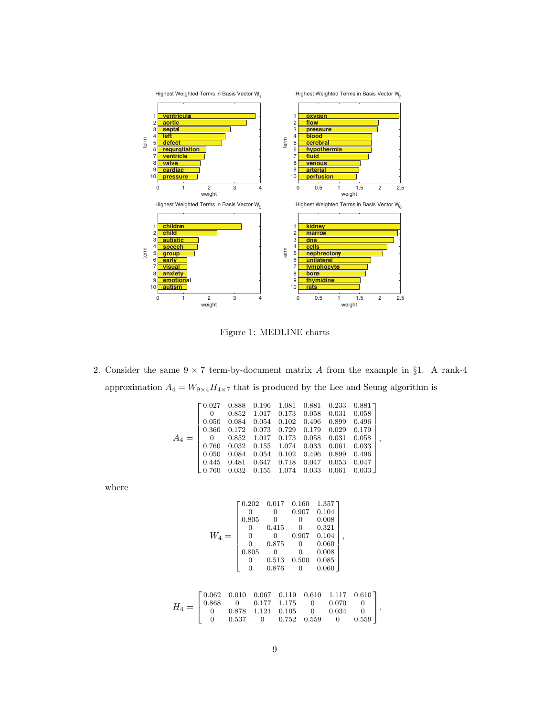

Figure 1: MEDLINE charts

2. Consider the same  $9 \times 7$  term-by-document matrix A from the example in §1. A rank-4 approximation  $A_4 = W_{9 \times 4} H_{4 \times 7}$  that is produced by the Lee and Seung algorithm is

$$
A_4=\left[\begin{smallmatrix} 0.027&0.888&0.196&1.081&0.881&0.233&0.881\\0&0.852&1.017&0.173&0.058&0.031&0.058\\0.050&0.084&0.054&0.102&0.496&0.899&0.496\\0.360&0.172&0.073&0.729&0.179&0.029&0.179\\0&0.852&1.017&0.173&0.058&0.031&0.058\\0.760&0.032&0.155&1.074&0.033&0.061&0.033\\0.445&0.481&0.647&0.718&0.047&0.053&0.047\\0.760&0.032&0.155&1.074&0.033&0.061&0.033 \end{smallmatrix}\right]
$$

,

where

$$
W_4=\left[\begin{smallmatrix} 0.202 & 0.017 & 0.160 & 1.357\\ 0 & 0 & 0.907 & 0.104\\ 0.805 & 0 & 0 & 0.008\\ 0 & 0.415 & 0 & 0.321\\ 0 & 0 & 0.907 & 0.104\\ 0 & 0.875 & 0 & 0.060\\ 0.805 & 0 & 0 & 0.008\\ 0 & 0.513 & 0.500 & 0.085\\ 0 & 0.876 & 0 & 0.060 \end{smallmatrix}\right],
$$

$$
H_4=\begin{bmatrix} 0.062 & 0.010 & 0.067 & 0.119 & 0.610 & 1.117 & 0.610 \\ 0.868 & 0 & 0.177 & 1.175 & 0 & 0.070 & 0 \\ 0 & 0.878 & 1.121 & 0.105 & 0 & 0.034 & 0 \\ 0 & 0.537 & 0 & 0.752 & 0.559 & 0 & 0.559 \end{bmatrix}.
$$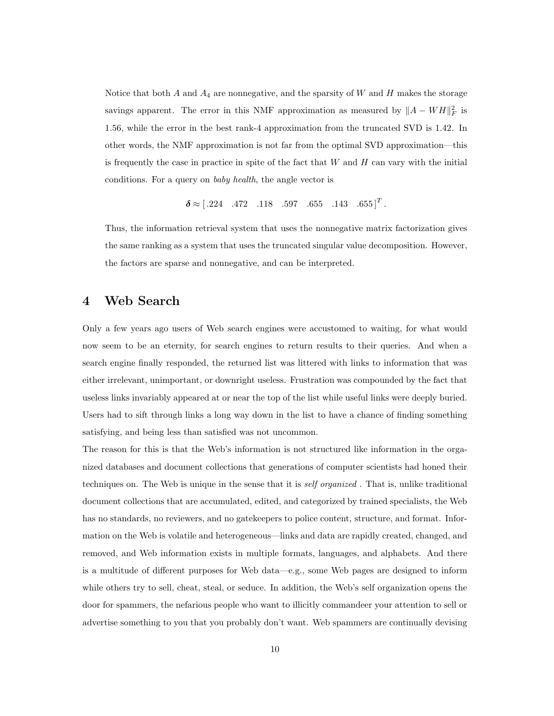Notice that both  $A$  and  $A_4$  are nonnegative, and the sparsity of  $W$  and  $H$  makes the storage savings apparent. The error in this NMF approximation as measured by  $||A - WH||_F^2$  is 1.56, while the error in the best rank-4 approximation from the truncated SVD is 1.42. In other words, the NMF approximation is not far from the optimal SVD approximation—this is frequently the case in practice in spite of the fact that  $W$  and  $H$  can vary with the initial conditions. For a query on baby health, the angle vector is

$$
\delta \approx [0.224 \quad 0.472 \quad 0.118 \quad 0.597 \quad 0.655 \quad 0.143 \quad 0.655]^T
$$
.

Thus, the information retrieval system that uses the nonnegative matrix factorization gives the same ranking as a system that uses the truncated singular value decomposition. However, the factors are sparse and nonnegative, and can be interpreted.

# 4 Web Search

Only a few years ago users of Web search engines were accustomed to waiting, for what would now seem to be an eternity, for search engines to return results to their queries. And when a search engine finally responded, the returned list was littered with links to information that was either irrelevant, unimportant, or downright useless. Frustration was compounded by the fact that useless links invariably appeared at or near the top of the list while useful links were deeply buried. Users had to sift through links a long way down in the list to have a chance of finding something satisfying, and being less than satisfied was not uncommon.

The reason for this is that the Web's information is not structured like information in the organized databases and document collections that generations of computer scientists had honed their techniques on. The Web is unique in the sense that it is self organized . That is, unlike traditional document collections that are accumulated, edited, and categorized by trained specialists, the Web has no standards, no reviewers, and no gatekeepers to police content, structure, and format. Information on the Web is volatile and heterogeneous—links and data are rapidly created, changed, and removed, and Web information exists in multiple formats, languages, and alphabets. And there is a multitude of different purposes for Web data—e.g., some Web pages are designed to inform while others try to sell, cheat, steal, or seduce. In addition, the Web's self organization opens the door for spammers, the nefarious people who want to illicitly commandeer your attention to sell or advertise something to you that you probably don't want. Web spammers are continually devising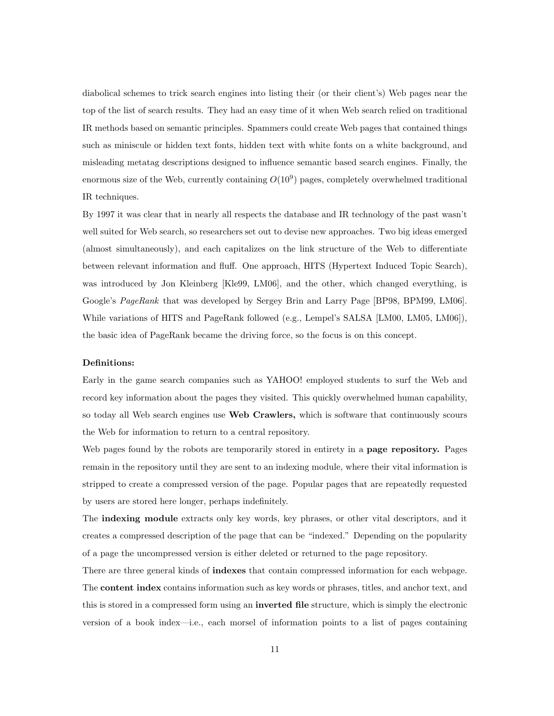diabolical schemes to trick search engines into listing their (or their client's) Web pages near the top of the list of search results. They had an easy time of it when Web search relied on traditional IR methods based on semantic principles. Spammers could create Web pages that contained things such as miniscule or hidden text fonts, hidden text with white fonts on a white background, and misleading metatag descriptions designed to influence semantic based search engines. Finally, the enormous size of the Web, currently containing  $O(10^9)$  pages, completely overwhelmed traditional IR techniques.

By 1997 it was clear that in nearly all respects the database and IR technology of the past wasn't well suited for Web search, so researchers set out to devise new approaches. Two big ideas emerged (almost simultaneously), and each capitalizes on the link structure of the Web to differentiate between relevant information and fluff. One approach, HITS (Hypertext Induced Topic Search), was introduced by Jon Kleinberg [Kle99, LM06], and the other, which changed everything, is Google's PageRank that was developed by Sergey Brin and Larry Page [BP98, BPM99, LM06]. While variations of HITS and PageRank followed (e.g., Lempel's SALSA [LM00, LM05, LM06]), the basic idea of PageRank became the driving force, so the focus is on this concept.

### Definitions:

Early in the game search companies such as YAHOO! employed students to surf the Web and record key information about the pages they visited. This quickly overwhelmed human capability, so today all Web search engines use Web Crawlers, which is software that continuously scours the Web for information to return to a central repository.

Web pages found by the robots are temporarily stored in entirety in a **page repository.** Pages remain in the repository until they are sent to an indexing module, where their vital information is stripped to create a compressed version of the page. Popular pages that are repeatedly requested by users are stored here longer, perhaps indefinitely.

The indexing module extracts only key words, key phrases, or other vital descriptors, and it creates a compressed description of the page that can be "indexed." Depending on the popularity of a page the uncompressed version is either deleted or returned to the page repository.

There are three general kinds of indexes that contain compressed information for each webpage. The content index contains information such as key words or phrases, titles, and anchor text, and this is stored in a compressed form using an inverted file structure, which is simply the electronic version of a book index—i.e., each morsel of information points to a list of pages containing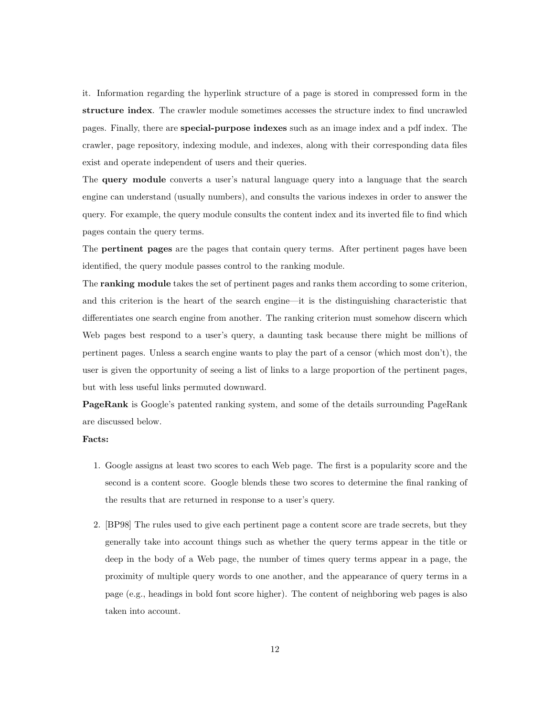it. Information regarding the hyperlink structure of a page is stored in compressed form in the structure index. The crawler module sometimes accesses the structure index to find uncrawled pages. Finally, there are special-purpose indexes such as an image index and a pdf index. The crawler, page repository, indexing module, and indexes, along with their corresponding data files exist and operate independent of users and their queries.

The query module converts a user's natural language query into a language that the search engine can understand (usually numbers), and consults the various indexes in order to answer the query. For example, the query module consults the content index and its inverted file to find which pages contain the query terms.

The pertinent pages are the pages that contain query terms. After pertinent pages have been identified, the query module passes control to the ranking module.

The ranking module takes the set of pertinent pages and ranks them according to some criterion, and this criterion is the heart of the search engine—it is the distinguishing characteristic that differentiates one search engine from another. The ranking criterion must somehow discern which Web pages best respond to a user's query, a daunting task because there might be millions of pertinent pages. Unless a search engine wants to play the part of a censor (which most don't), the user is given the opportunity of seeing a list of links to a large proportion of the pertinent pages, but with less useful links permuted downward.

PageRank is Google's patented ranking system, and some of the details surrounding PageRank are discussed below.

- 1. Google assigns at least two scores to each Web page. The first is a popularity score and the second is a content score. Google blends these two scores to determine the final ranking of the results that are returned in response to a user's query.
- 2. [BP98] The rules used to give each pertinent page a content score are trade secrets, but they generally take into account things such as whether the query terms appear in the title or deep in the body of a Web page, the number of times query terms appear in a page, the proximity of multiple query words to one another, and the appearance of query terms in a page (e.g., headings in bold font score higher). The content of neighboring web pages is also taken into account.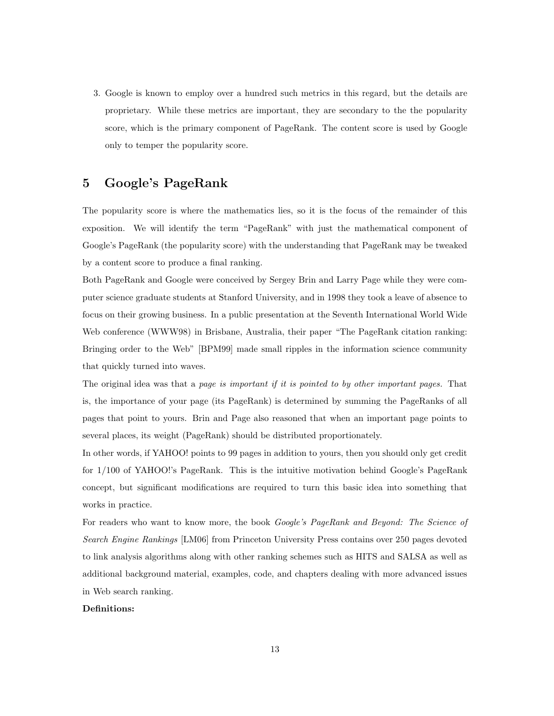3. Google is known to employ over a hundred such metrics in this regard, but the details are proprietary. While these metrics are important, they are secondary to the the popularity score, which is the primary component of PageRank. The content score is used by Google only to temper the popularity score.

# 5 Google's PageRank

The popularity score is where the mathematics lies, so it is the focus of the remainder of this exposition. We will identify the term "PageRank" with just the mathematical component of Google's PageRank (the popularity score) with the understanding that PageRank may be tweaked by a content score to produce a final ranking.

Both PageRank and Google were conceived by Sergey Brin and Larry Page while they were computer science graduate students at Stanford University, and in 1998 they took a leave of absence to focus on their growing business. In a public presentation at the Seventh International World Wide Web conference (WWW98) in Brisbane, Australia, their paper "The PageRank citation ranking: Bringing order to the Web" [BPM99] made small ripples in the information science community that quickly turned into waves.

The original idea was that a page is important if it is pointed to by other important pages. That is, the importance of your page (its PageRank) is determined by summing the PageRanks of all pages that point to yours. Brin and Page also reasoned that when an important page points to several places, its weight (PageRank) should be distributed proportionately.

In other words, if YAHOO! points to 99 pages in addition to yours, then you should only get credit for 1/100 of YAHOO!'s PageRank. This is the intuitive motivation behind Google's PageRank concept, but significant modifications are required to turn this basic idea into something that works in practice.

For readers who want to know more, the book *Google's PageRank and Beyond: The Science of* Search Engine Rankings [LM06] from Princeton University Press contains over 250 pages devoted to link analysis algorithms along with other ranking schemes such as HITS and SALSA as well as additional background material, examples, code, and chapters dealing with more advanced issues in Web search ranking.

#### Definitions: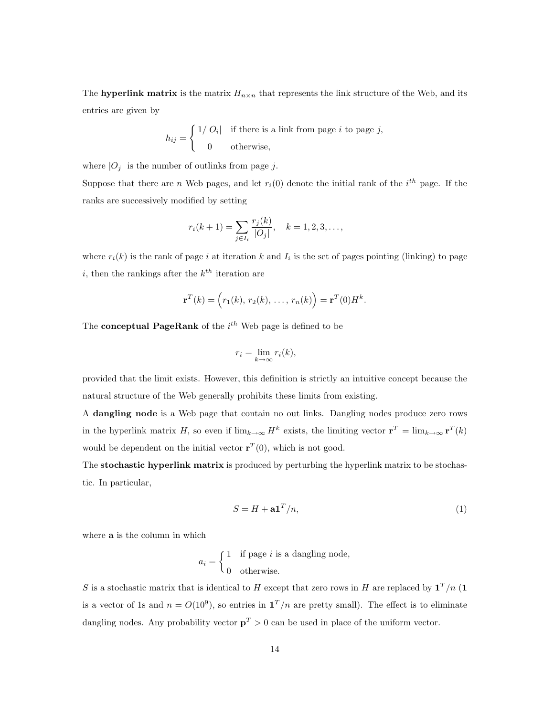The **hyperlink matrix** is the matrix  $H_{n\times n}$  that represents the link structure of the Web, and its entries are given by

$$
h_{ij} = \begin{cases} 1/|O_i| & \text{if there is a link from page } i \text{ to page } j, \\ 0 & \text{otherwise,} \end{cases}
$$

where  $|O_i|$  is the number of outlinks from page j.

Suppose that there are n Web pages, and let  $r_i(0)$  denote the initial rank of the  $i^{th}$  page. If the ranks are successively modified by setting

$$
r_i(k+1) = \sum_{j \in I_i} \frac{r_j(k)}{|O_j|}, \quad k = 1, 2, 3, \dots,
$$

where  $r_i(k)$  is the rank of page i at iteration k and  $I_i$  is the set of pages pointing (linking) to page i, then the rankings after the  $k^{th}$  iteration are

$$
\mathbf{r}^{T}(k) = (r_{1}(k), r_{2}(k), \ldots, r_{n}(k)) = \mathbf{r}^{T}(0)H^{k}.
$$

The **conceptual PageRank** of the  $i^{th}$  Web page is defined to be

$$
r_i = \lim_{k \to \infty} r_i(k),
$$

provided that the limit exists. However, this definition is strictly an intuitive concept because the natural structure of the Web generally prohibits these limits from existing.

A dangling node is a Web page that contain no out links. Dangling nodes produce zero rows in the hyperlink matrix H, so even if  $\lim_{k\to\infty} H^k$  exists, the limiting vector  $\mathbf{r}^T = \lim_{k\to\infty} \mathbf{r}^T(k)$ would be dependent on the initial vector  $\mathbf{r}^T(0)$ , which is not good.

The stochastic hyperlink matrix is produced by perturbing the hyperlink matrix to be stochastic. In particular,

$$
S = H + \mathbf{a} \mathbf{1}^T / n,\tag{1}
$$

where a is the column in which

$$
a_i = \begin{cases} 1 & \text{if page } i \text{ is a dangling node,} \\ 0 & \text{otherwise.} \end{cases}
$$

S is a stochastic matrix that is identical to H except that zero rows in H are replaced by  $\mathbf{1}^T/n$  (1 is a vector of 1s and  $n = O(10^9)$ , so entries in  $\mathbf{1}^T/n$  are pretty small). The effect is to eliminate dangling nodes. Any probability vector  $p^T > 0$  can be used in place of the uniform vector.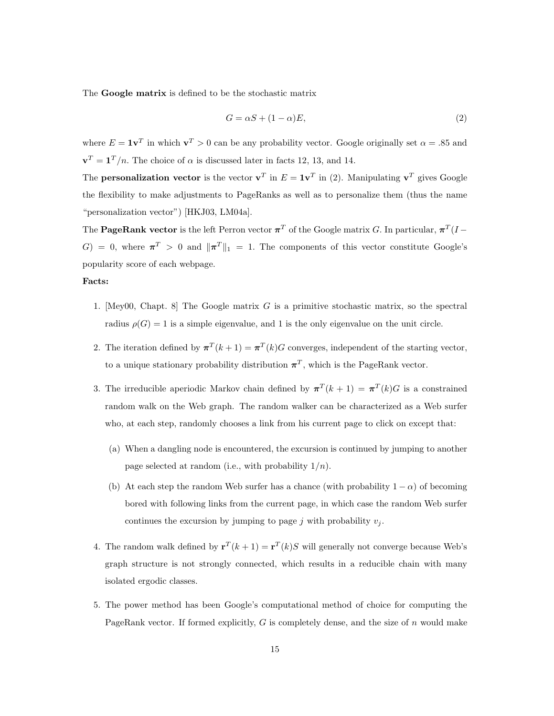The Google matrix is defined to be the stochastic matrix

$$
G = \alpha S + (1 - \alpha)E,\tag{2}
$$

where  $E = \mathbf{1} \mathbf{v}^T$  in which  $\mathbf{v}^T > 0$  can be any probability vector. Google originally set  $\alpha = .85$  and  $\mathbf{v}^T = \mathbf{1}^T/n$ . The choice of  $\alpha$  is discussed later in facts 12, 13, and 14.

The **personalization vector** is the vector  $v^T$  in  $E = \mathbf{1}v^T$  in (2). Manipulating  $v^T$  gives Google the flexibility to make adjustments to PageRanks as well as to personalize them (thus the name "personalization vector") [HKJ03, LM04a].

The PageRank vector is the left Perron vector  $\pi^T$  of the Google matrix G. In particular,  $\pi^T(I G$  = 0, where  $\pi^T > 0$  and  $\|\pi^T\|_1 = 1$ . The components of this vector constitute Google's popularity score of each webpage.

- 1. [Mey00, Chapt. 8] The Google matrix  $G$  is a primitive stochastic matrix, so the spectral radius  $\rho(G) = 1$  is a simple eigenvalue, and 1 is the only eigenvalue on the unit circle.
- 2. The iteration defined by  $\pi^{T}(k+1) = \pi^{T}(k)G$  converges, independent of the starting vector, to a unique stationary probability distribution  $\pi^T$ , which is the PageRank vector.
- 3. The irreducible aperiodic Markov chain defined by  $\pi^{T}(k+1) = \pi^{T}(k)G$  is a constrained random walk on the Web graph. The random walker can be characterized as a Web surfer who, at each step, randomly chooses a link from his current page to click on except that:
	- (a) When a dangling node is encountered, the excursion is continued by jumping to another page selected at random (i.e., with probability  $1/n$ ).
	- (b) At each step the random Web surfer has a chance (with probability  $1 \alpha$ ) of becoming bored with following links from the current page, in which case the random Web surfer continues the excursion by jumping to page j with probability  $v_j$ .
- 4. The random walk defined by  $\mathbf{r}^T(k+1) = \mathbf{r}^T(k)S$  will generally not converge because Web's graph structure is not strongly connected, which results in a reducible chain with many isolated ergodic classes.
- 5. The power method has been Google's computational method of choice for computing the PageRank vector. If formed explicitly,  $G$  is completely dense, and the size of  $n$  would make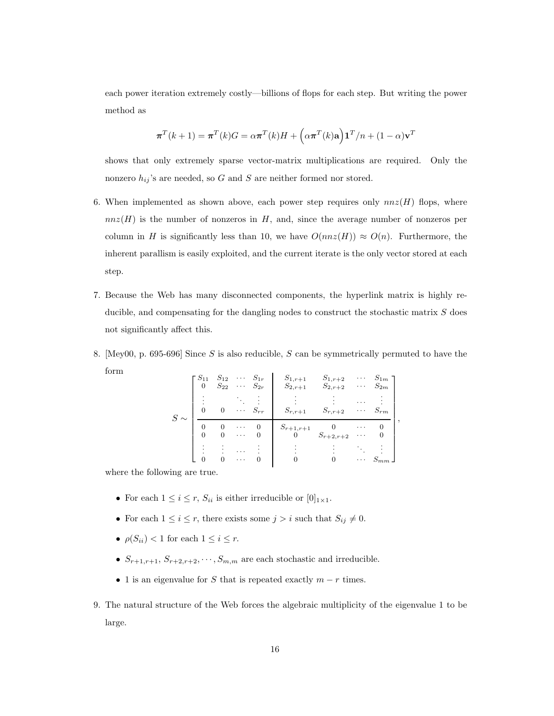each power iteration extremely costly—billions of flops for each step. But writing the power method as

$$
\boldsymbol{\pi}^T(k+1) = \boldsymbol{\pi}^T(k)G = \alpha \boldsymbol{\pi}^T(k)H + \left(\alpha \boldsymbol{\pi}^T(k)\mathbf{a}\right)\mathbf{1}^T/n + (1-\alpha)\mathbf{v}^T
$$

shows that only extremely sparse vector-matrix multiplications are required. Only the nonzero  $h_{ij}$ 's are needed, so G and S are neither formed nor stored.

- 6. When implemented as shown above, each power step requires only  $nnz(H)$  flops, where  $nnz(H)$  is the number of nonzeros in H, and, since the average number of nonzeros per column in H is significantly less than 10, we have  $O(nnz(H)) \approx O(n)$ . Furthermore, the inherent parallism is easily exploited, and the current iterate is the only vector stored at each step.
- 7. Because the Web has many disconnected components, the hyperlink matrix is highly reducible, and compensating for the dangling nodes to construct the stochastic matrix  $S$  does not significantly affect this.
- 8. [Mey00, p. 695-696] Since S is also reducible, S can be symmetrically permuted to have the form

| $S \sim$ | Г $\mathit{S}_{11}$<br>$\theta$ | $S_{12}$<br>$S_{22}$ | $\cdots$<br>$\cdots$<br>$\cdots$ | $S_{1r}$<br>$S_{2r}$<br>$S_{rr}$ | $S_{1,r+1}$<br>$S_{2,r+1}$<br>$S_{r,r+1}$ | $S_{1,r+2}$<br>$S_{2,r+2}$<br>$S_{r,r+2}$ | $\cdots$<br>$\cdots$<br>.<br>$\ldots$ . | $S_{1m}$<br>$S_{2m}$<br>$_{Srm}$ |  |
|----------|---------------------------------|----------------------|----------------------------------|----------------------------------|-------------------------------------------|-------------------------------------------|-----------------------------------------|----------------------------------|--|
|          |                                 | 0                    | $\cdots$<br>.<br>$\cdots$        | $\Omega$<br>U                    | $S_{r+1,r+1}$<br>0<br>0                   | $S_{r+2,r+2}$                             | .<br>.<br>$\cdots$                      | $S_{mm}$ .                       |  |

where the following are true.

- For each  $1 \leq i \leq r$ ,  $S_{ii}$  is either irreducible or  $[0]_{1 \times 1}$ .
- For each  $1 \leq i \leq r$ , there exists some  $j > i$  such that  $S_{ij} \neq 0$ .
- $\rho(S_{ii}) < 1$  for each  $1 \leq i \leq r$ .
- $S_{r+1,r+1}, S_{r+2,r+2}, \cdots, S_{m,m}$  are each stochastic and irreducible.
- 1 is an eigenvalue for S that is repeated exactly  $m r$  times.
- 9. The natural structure of the Web forces the algebraic multiplicity of the eigenvalue 1 to be large.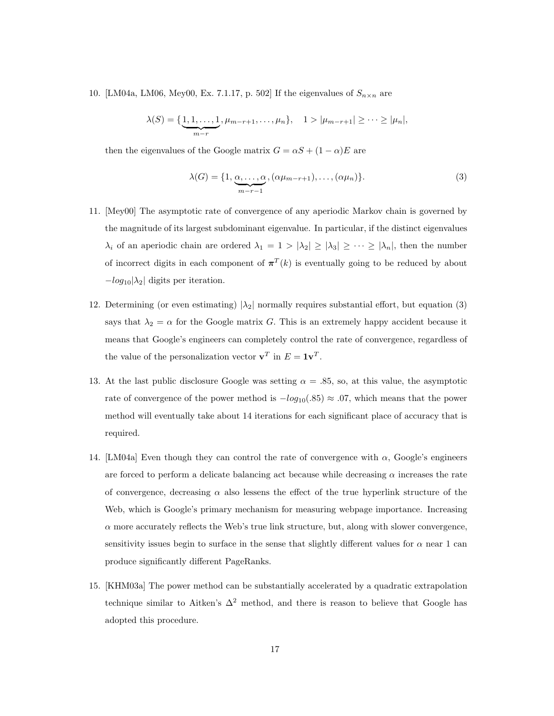10. [LM04a, LM06, Mey00, Ex. 7.1.17, p. 502] If the eigenvalues of  $S_{n \times n}$  are

$$
\lambda(S) = \{ \underbrace{1, 1, \ldots, 1}_{m-r}, \mu_{m-r+1}, \ldots, \mu_n \}, \quad 1 > |\mu_{m-r+1}| \geq \cdots \geq |\mu_n|,
$$

then the eigenvalues of the Google matrix  $G = \alpha S + (1 - \alpha)E$  are

$$
\lambda(G) = \{1, \underbrace{\alpha, \dots, \alpha}_{m-r-1}, (\alpha \mu_{m-r+1}), \dots, (\alpha \mu_n)\}.
$$
 (3)

- 11. [Mey00] The asymptotic rate of convergence of any aperiodic Markov chain is governed by the magnitude of its largest subdominant eigenvalue. In particular, if the distinct eigenvalues  $\lambda_i$  of an aperiodic chain are ordered  $\lambda_1 = 1 > |\lambda_2| \ge |\lambda_3| \ge \cdots \ge |\lambda_n|$ , then the number of incorrect digits in each component of  $\pi^{T}(k)$  is eventually going to be reduced by about  $-log_{10}|\lambda_2|$  digits per iteration.
- 12. Determining (or even estimating)  $|\lambda_2|$  normally requires substantial effort, but equation (3) says that  $\lambda_2 = \alpha$  for the Google matrix G. This is an extremely happy accident because it means that Google's engineers can completely control the rate of convergence, regardless of the value of the personalization vector  $\mathbf{v}^T$  in  $E = \mathbf{1v}^T$ .
- 13. At the last public disclosure Google was setting  $\alpha = .85$ , so, at this value, the asymptotic rate of convergence of the power method is  $-log_{10}(0.85) \approx 0.07$ , which means that the power method will eventually take about 14 iterations for each significant place of accuracy that is required.
- 14. [LM04a] Even though they can control the rate of convergence with  $\alpha$ , Google's engineers are forced to perform a delicate balancing act because while decreasing  $\alpha$  increases the rate of convergence, decreasing  $\alpha$  also lessens the effect of the true hyperlink structure of the Web, which is Google's primary mechanism for measuring webpage importance. Increasing  $\alpha$  more accurately reflects the Web's true link structure, but, along with slower convergence, sensitivity issues begin to surface in the sense that slightly different values for  $\alpha$  near 1 can produce significantly different PageRanks.
- 15. [KHM03a] The power method can be substantially accelerated by a quadratic extrapolation technique similar to Aitken's  $\Delta^2$  method, and there is reason to believe that Google has adopted this procedure.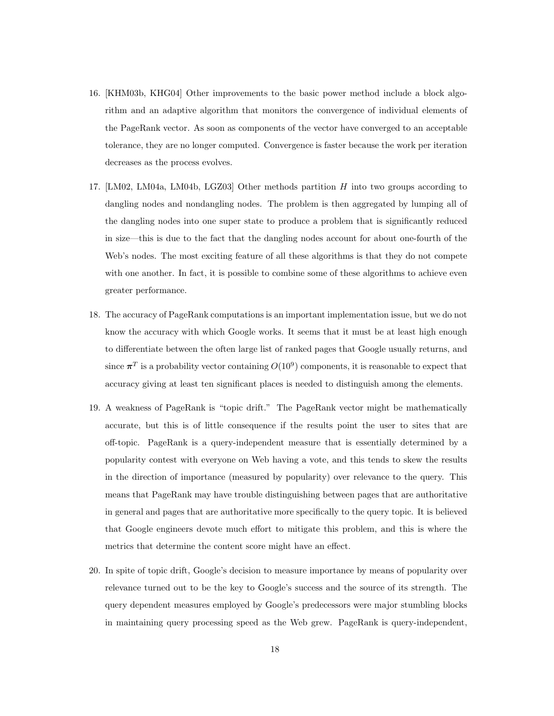- 16. [KHM03b, KHG04] Other improvements to the basic power method include a block algorithm and an adaptive algorithm that monitors the convergence of individual elements of the PageRank vector. As soon as components of the vector have converged to an acceptable tolerance, they are no longer computed. Convergence is faster because the work per iteration decreases as the process evolves.
- 17. [LM02, LM04a, LM04b, LGZ03] Other methods partition H into two groups according to dangling nodes and nondangling nodes. The problem is then aggregated by lumping all of the dangling nodes into one super state to produce a problem that is significantly reduced in size—this is due to the fact that the dangling nodes account for about one-fourth of the Web's nodes. The most exciting feature of all these algorithms is that they do not compete with one another. In fact, it is possible to combine some of these algorithms to achieve even greater performance.
- 18. The accuracy of PageRank computations is an important implementation issue, but we do not know the accuracy with which Google works. It seems that it must be at least high enough to differentiate between the often large list of ranked pages that Google usually returns, and since  $\pi^T$  is a probability vector containing  $O(10^9)$  components, it is reasonable to expect that accuracy giving at least ten significant places is needed to distinguish among the elements.
- 19. A weakness of PageRank is "topic drift." The PageRank vector might be mathematically accurate, but this is of little consequence if the results point the user to sites that are off-topic. PageRank is a query-independent measure that is essentially determined by a popularity contest with everyone on Web having a vote, and this tends to skew the results in the direction of importance (measured by popularity) over relevance to the query. This means that PageRank may have trouble distinguishing between pages that are authoritative in general and pages that are authoritative more specifically to the query topic. It is believed that Google engineers devote much effort to mitigate this problem, and this is where the metrics that determine the content score might have an effect.
- 20. In spite of topic drift, Google's decision to measure importance by means of popularity over relevance turned out to be the key to Google's success and the source of its strength. The query dependent measures employed by Google's predecessors were major stumbling blocks in maintaining query processing speed as the Web grew. PageRank is query-independent,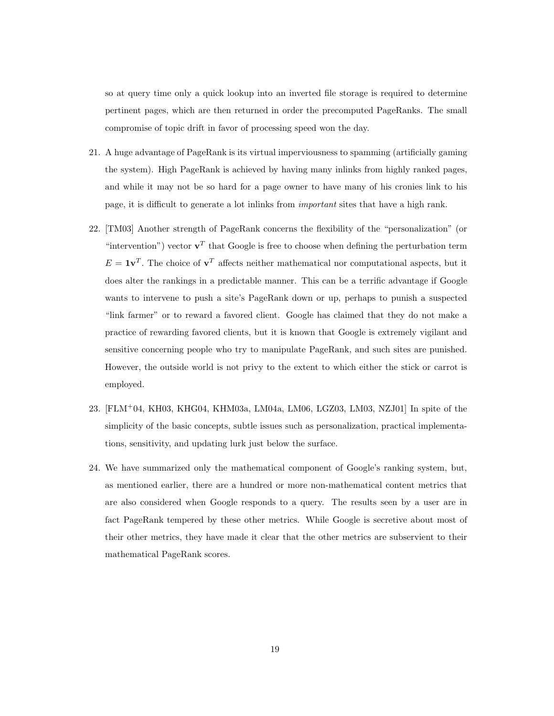so at query time only a quick lookup into an inverted file storage is required to determine pertinent pages, which are then returned in order the precomputed PageRanks. The small compromise of topic drift in favor of processing speed won the day.

- 21. A huge advantage of PageRank is its virtual imperviousness to spamming (artificially gaming the system). High PageRank is achieved by having many inlinks from highly ranked pages, and while it may not be so hard for a page owner to have many of his cronies link to his page, it is difficult to generate a lot inlinks from important sites that have a high rank.
- 22. [TM03] Another strength of PageRank concerns the flexibility of the "personalization" (or "intervention") vector  $\mathbf{v}^T$  that Google is free to choose when defining the perturbation term  $E = \mathbf{1} \mathbf{v}^T$ . The choice of  $\mathbf{v}^T$  affects neither mathematical nor computational aspects, but it does alter the rankings in a predictable manner. This can be a terrific advantage if Google wants to intervene to push a site's PageRank down or up, perhaps to punish a suspected "link farmer" or to reward a favored client. Google has claimed that they do not make a practice of rewarding favored clients, but it is known that Google is extremely vigilant and sensitive concerning people who try to manipulate PageRank, and such sites are punished. However, the outside world is not privy to the extent to which either the stick or carrot is employed.
- 23. [FLM<sup>+</sup>04, KH03, KHG04, KHM03a, LM04a, LM06, LGZ03, LM03, NZJ01] In spite of the simplicity of the basic concepts, subtle issues such as personalization, practical implementations, sensitivity, and updating lurk just below the surface.
- 24. We have summarized only the mathematical component of Google's ranking system, but, as mentioned earlier, there are a hundred or more non-mathematical content metrics that are also considered when Google responds to a query. The results seen by a user are in fact PageRank tempered by these other metrics. While Google is secretive about most of their other metrics, they have made it clear that the other metrics are subservient to their mathematical PageRank scores.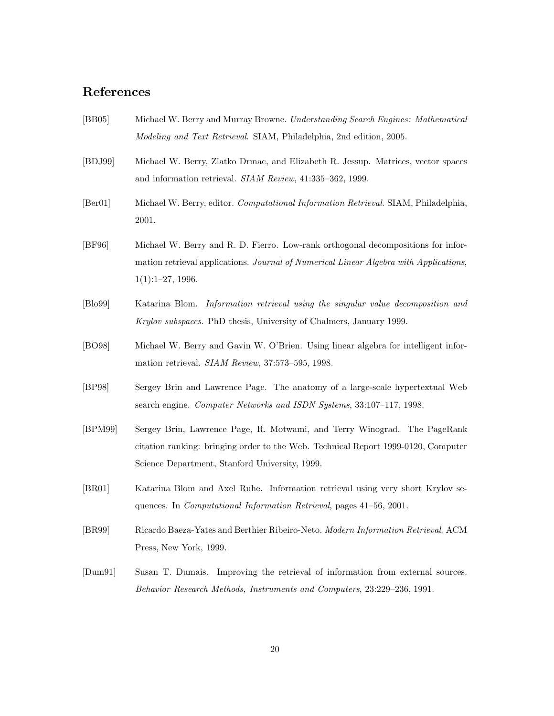# References

- [BB05] Michael W. Berry and Murray Browne. Understanding Search Engines: Mathematical Modeling and Text Retrieval. SIAM, Philadelphia, 2nd edition, 2005.
- [BDJ99] Michael W. Berry, Zlatko Drmac, and Elizabeth R. Jessup. Matrices, vector spaces and information retrieval. SIAM Review, 41:335–362, 1999.
- [Ber01] Michael W. Berry, editor. Computational Information Retrieval. SIAM, Philadelphia, 2001.
- [BF96] Michael W. Berry and R. D. Fierro. Low-rank orthogonal decompositions for information retrieval applications. Journal of Numerical Linear Algebra with Applications, 1(1):1–27, 1996.
- [Blo99] Katarina Blom. Information retrieval using the singular value decomposition and Krylov subspaces. PhD thesis, University of Chalmers, January 1999.
- [BO98] Michael W. Berry and Gavin W. O'Brien. Using linear algebra for intelligent information retrieval. SIAM Review, 37:573–595, 1998.
- [BP98] Sergey Brin and Lawrence Page. The anatomy of a large-scale hypertextual Web search engine. Computer Networks and ISDN Systems, 33:107–117, 1998.
- [BPM99] Sergey Brin, Lawrence Page, R. Motwami, and Terry Winograd. The PageRank citation ranking: bringing order to the Web. Technical Report 1999-0120, Computer Science Department, Stanford University, 1999.
- [BR01] Katarina Blom and Axel Ruhe. Information retrieval using very short Krylov sequences. In Computational Information Retrieval, pages 41–56, 2001.
- [BR99] Ricardo Baeza-Yates and Berthier Ribeiro-Neto. Modern Information Retrieval. ACM Press, New York, 1999.
- [Dum91] Susan T. Dumais. Improving the retrieval of information from external sources. Behavior Research Methods, Instruments and Computers, 23:229–236, 1991.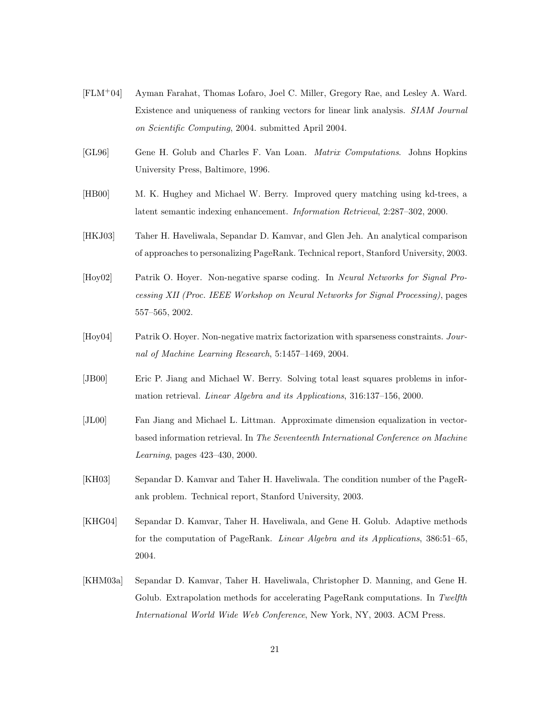- [FLM<sup>+</sup>04] Ayman Farahat, Thomas Lofaro, Joel C. Miller, Gregory Rae, and Lesley A. Ward. Existence and uniqueness of ranking vectors for linear link analysis. SIAM Journal on Scientific Computing, 2004. submitted April 2004.
- [GL96] Gene H. Golub and Charles F. Van Loan. Matrix Computations. Johns Hopkins University Press, Baltimore, 1996.
- [HB00] M. K. Hughey and Michael W. Berry. Improved query matching using kd-trees, a latent semantic indexing enhancement. Information Retrieval, 2:287–302, 2000.
- [HKJ03] Taher H. Haveliwala, Sepandar D. Kamvar, and Glen Jeh. An analytical comparison of approaches to personalizing PageRank. Technical report, Stanford University, 2003.
- [Hoy02] Patrik O. Hoyer. Non-negative sparse coding. In Neural Networks for Signal Processing XII (Proc. IEEE Workshop on Neural Networks for Signal Processing), pages 557–565, 2002.
- [Hoy04] Patrik O. Hoyer. Non-negative matrix factorization with sparseness constraints. Journal of Machine Learning Research, 5:1457–1469, 2004.
- [JB00] Eric P. Jiang and Michael W. Berry. Solving total least squares problems in information retrieval. Linear Algebra and its Applications, 316:137–156, 2000.
- [JL00] Fan Jiang and Michael L. Littman. Approximate dimension equalization in vectorbased information retrieval. In The Seventeenth International Conference on Machine Learning, pages 423–430, 2000.
- [KH03] Sepandar D. Kamvar and Taher H. Haveliwala. The condition number of the PageRank problem. Technical report, Stanford University, 2003.
- [KHG04] Sepandar D. Kamvar, Taher H. Haveliwala, and Gene H. Golub. Adaptive methods for the computation of PageRank. Linear Algebra and its Applications, 386:51–65, 2004.
- [KHM03a] Sepandar D. Kamvar, Taher H. Haveliwala, Christopher D. Manning, and Gene H. Golub. Extrapolation methods for accelerating PageRank computations. In Twelfth International World Wide Web Conference, New York, NY, 2003. ACM Press.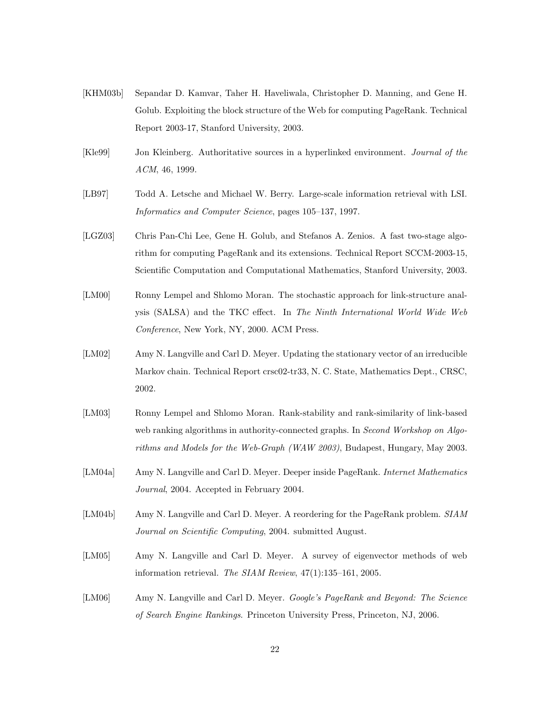- [KHM03b] Sepandar D. Kamvar, Taher H. Haveliwala, Christopher D. Manning, and Gene H. Golub. Exploiting the block structure of the Web for computing PageRank. Technical Report 2003-17, Stanford University, 2003.
- [Kle99] Jon Kleinberg. Authoritative sources in a hyperlinked environment. Journal of the ACM, 46, 1999.
- [LB97] Todd A. Letsche and Michael W. Berry. Large-scale information retrieval with LSI. Informatics and Computer Science, pages 105–137, 1997.
- [LGZ03] Chris Pan-Chi Lee, Gene H. Golub, and Stefanos A. Zenios. A fast two-stage algorithm for computing PageRank and its extensions. Technical Report SCCM-2003-15, Scientific Computation and Computational Mathematics, Stanford University, 2003.
- [LM00] Ronny Lempel and Shlomo Moran. The stochastic approach for link-structure analysis (SALSA) and the TKC effect. In The Ninth International World Wide Web Conference, New York, NY, 2000. ACM Press.
- [LM02] Amy N. Langville and Carl D. Meyer. Updating the stationary vector of an irreducible Markov chain. Technical Report crsc02-tr33, N. C. State, Mathematics Dept., CRSC, 2002.
- [LM03] Ronny Lempel and Shlomo Moran. Rank-stability and rank-similarity of link-based web ranking algorithms in authority-connected graphs. In Second Workshop on Algorithms and Models for the Web-Graph (WAW 2003), Budapest, Hungary, May 2003.
- [LM04a] Amy N. Langville and Carl D. Meyer. Deeper inside PageRank. Internet Mathematics Journal, 2004. Accepted in February 2004.
- [LM04b] Amy N. Langville and Carl D. Meyer. A reordering for the PageRank problem. SIAM Journal on Scientific Computing, 2004. submitted August.
- [LM05] Amy N. Langville and Carl D. Meyer. A survey of eigenvector methods of web information retrieval. The SIAM Review, 47(1):135–161, 2005.
- [LM06] Amy N. Langville and Carl D. Meyer. *Google's PageRank and Beyond: The Science* of Search Engine Rankings. Princeton University Press, Princeton, NJ, 2006.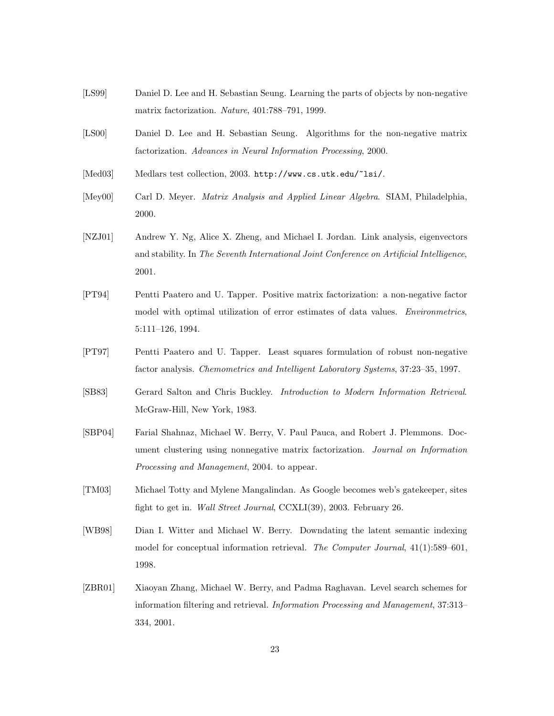- [LS99] Daniel D. Lee and H. Sebastian Seung. Learning the parts of objects by non-negative matrix factorization. Nature, 401:788–791, 1999.
- [LS00] Daniel D. Lee and H. Sebastian Seung. Algorithms for the non-negative matrix factorization. Advances in Neural Information Processing, 2000.
- [Med03] Medlars test collection, 2003. http://www.cs.utk.edu/~lsi/.
- [Mey00] Carl D. Meyer. Matrix Analysis and Applied Linear Algebra. SIAM, Philadelphia, 2000.
- [NZJ01] Andrew Y. Ng, Alice X. Zheng, and Michael I. Jordan. Link analysis, eigenvectors and stability. In The Seventh International Joint Conference on Artificial Intelligence, 2001.
- [PT94] Pentti Paatero and U. Tapper. Positive matrix factorization: a non-negative factor model with optimal utilization of error estimates of data values. Environmetrics, 5:111–126, 1994.
- [PT97] Pentti Paatero and U. Tapper. Least squares formulation of robust non-negative factor analysis. Chemometrics and Intelligent Laboratory Systems, 37:23–35, 1997.
- [SB83] Gerard Salton and Chris Buckley. Introduction to Modern Information Retrieval. McGraw-Hill, New York, 1983.
- [SBP04] Farial Shahnaz, Michael W. Berry, V. Paul Pauca, and Robert J. Plemmons. Document clustering using nonnegative matrix factorization. Journal on Information Processing and Management, 2004. to appear.
- [TM03] Michael Totty and Mylene Mangalindan. As Google becomes web's gatekeeper, sites fight to get in. Wall Street Journal, CCXLI(39), 2003. February 26.
- [WB98] Dian I. Witter and Michael W. Berry. Downdating the latent semantic indexing model for conceptual information retrieval. The Computer Journal,  $41(1)$ :589–601, 1998.
- [ZBR01] Xiaoyan Zhang, Michael W. Berry, and Padma Raghavan. Level search schemes for information filtering and retrieval. Information Processing and Management, 37:313– 334, 2001.